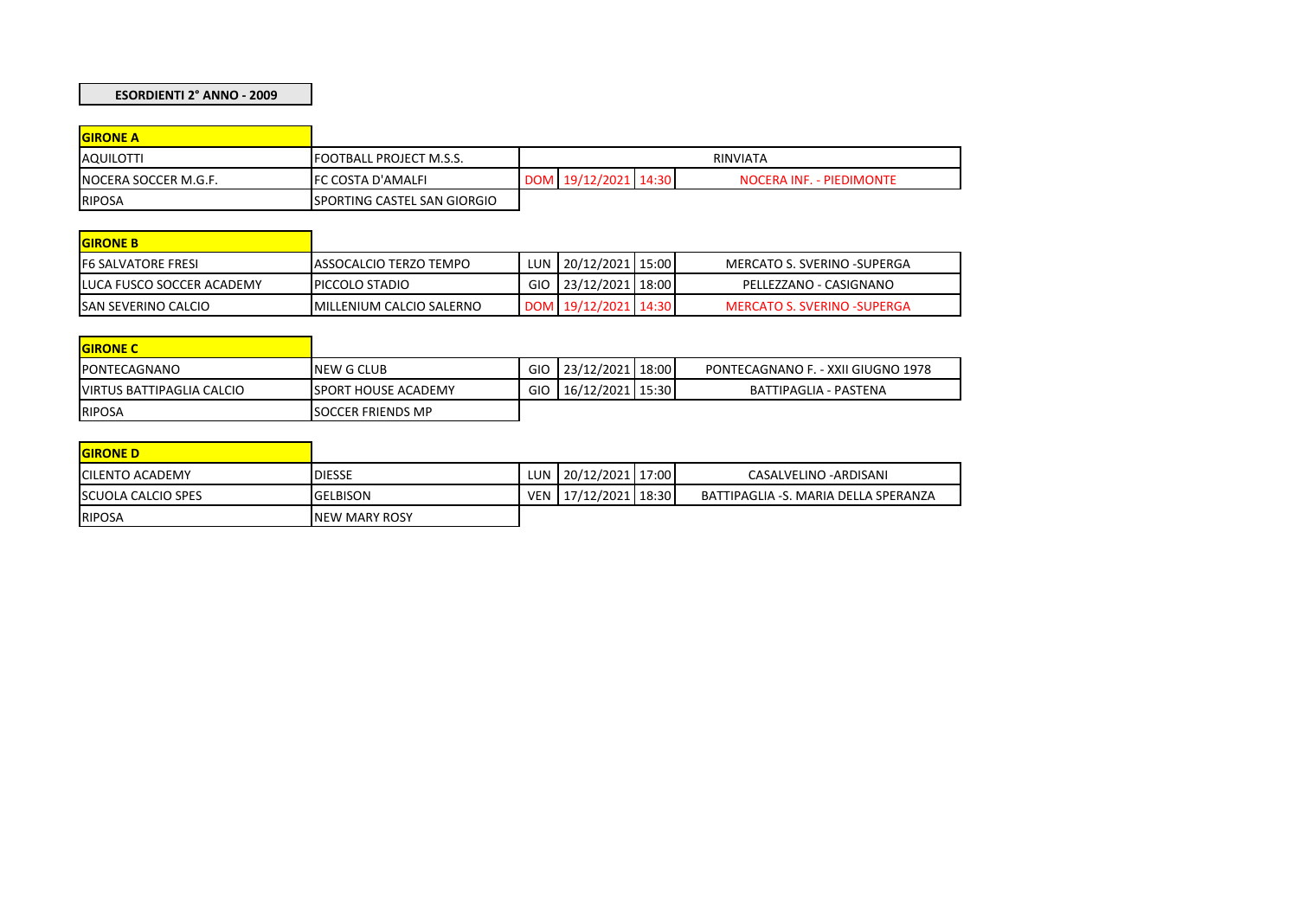## **ESORDIENTI 2° ANNO - 2009**

| <b>GIRONE A</b>      |                                |          |                      |  |                          |  |
|----------------------|--------------------------------|----------|----------------------|--|--------------------------|--|
| <b>AQUILOTTI</b>     | <b>FOOTBALL PROJECT M.S.S.</b> | RINVIATA |                      |  |                          |  |
| NOCERA SOCCER M.G.F. | <b>IFC COSTA D'AMALFI</b>      |          | DOM 19/12/2021 14:30 |  | NOCERA INF. - PIEDIMONTE |  |
| <b>RIPOSA</b>        | ISPORTING CASTEL SAN GIORGIO   |          |                      |  |                          |  |

| <b>GIRONE B</b>            |                                  |                      |                                    |
|----------------------------|----------------------------------|----------------------|------------------------------------|
| <b>F6 SALVATORE FRESI</b>  | IASSOCALCIO TERZO TEMPO          | LUN 20/12/2021 15:00 | MERCATO S. SVERINO -SUPERGA        |
| LUCA FUSCO SOCCER ACADEMY  | <b>PICCOLO STADIO</b>            | GIO 23/12/2021 18:00 | PELLEZZANO - CASIGNANO             |
| <b>SAN SEVERINO CALCIO</b> | <b>IMILLENIUM CALCIO SALERNO</b> | DOM 19/12/2021 14:30 | <b>MERCATO S. SVERINO -SUPERGA</b> |

| <b>GIRONE C</b>                   |                             |            |                    |                                    |
|-----------------------------------|-----------------------------|------------|--------------------|------------------------------------|
| <b>IPONTECAGNANO</b>              | <b>NEW G CLUB</b>           | GIO        | $23/12/2021$ 18:00 | PONTECAGNANO F. - XXII GIUGNO 1978 |
| <b>IVIRTUS BATTIPAGLIA CALCIO</b> | <b>ISPORT HOUSE ACADEMY</b> | <b>GIO</b> | 16/12/2021   15:30 | BATTIPAGLIA - PASTENA              |
| RIPOSA                            | <b>ISOCCER FRIENDS MP</b>   |            |                    |                                    |

| <b>GIRONE D</b>           |                       |            |                     |                                      |
|---------------------------|-----------------------|------------|---------------------|--------------------------------------|
| <b>ICILENTO ACADEMY</b>   | <b>DIESSE</b>         | <b>LUN</b> | $120/12/2021$ 17:00 | CASALVELINO - ARDISANI               |
| <b>SCUOLA CALCIO SPES</b> | <b>GELBISON</b>       | <b>VEN</b> | $17/12/2021$ 18:30  | BATTIPAGLIA -S. MARIA DELLA SPERANZA |
| <b>RIPOSA</b>             | <b>INEW MARY ROSY</b> |            |                     |                                      |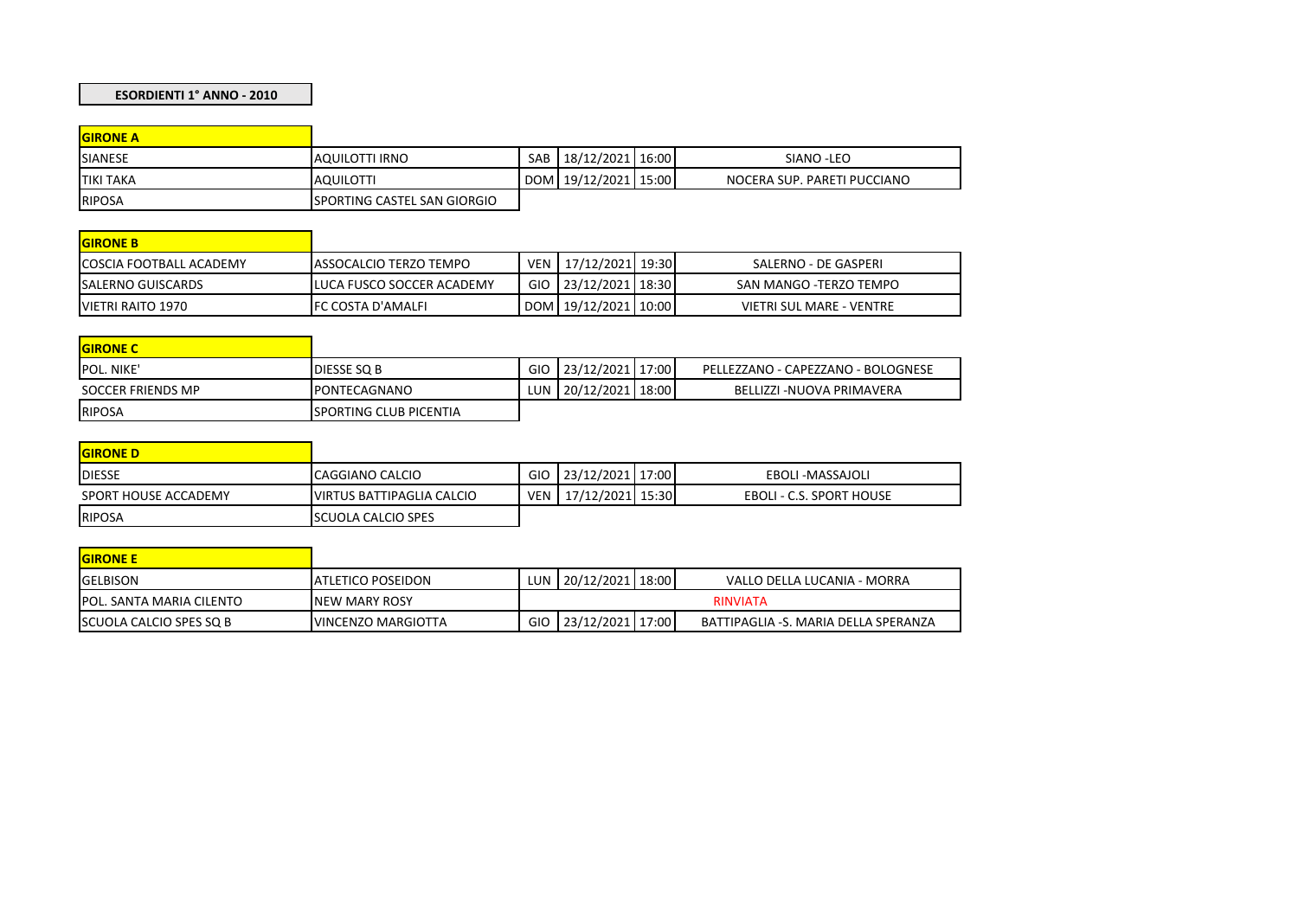## **ESORDIENTI 1° ANNO - 2010**

| <b>GIRONE A</b>  |                              |                          |                             |
|------------------|------------------------------|--------------------------|-----------------------------|
| <b>SIANESE</b>   | <b>AQUILOTTI IRNO</b>        | SAB   18/12/2021   16:00 | SIANO - LEO                 |
| <b>TIKI TAKA</b> | <b>AQUILOTTI</b>             | DOM 19/12/2021 15:00     | NOCERA SUP. PARETI PUCCIANO |
| <b>RIPOSA</b>    | ISPORTING CASTEL SAN GIORGIO |                          |                             |

| <b>GIRONE B</b>                 |                                |                          |                          |
|---------------------------------|--------------------------------|--------------------------|--------------------------|
| <b>ICOSCIA FOOTBALL ACADEMY</b> | <b>LASSOCALCIO TERZO TEMPO</b> | VEN 17/12/2021 19:30     | SALERNO - DE GASPERI     |
| <b>ISALERNO GUISCARDS</b>       | LUCA FUSCO SOCCER ACADEMY      | GIO 23/12/2021 18:30     | SAN MANGO -TERZO TEMPO   |
| VIETRI RAITO 1970               | <b>IFC COSTA D'AMALFI</b>      | DOM   19/12/2021   10:00 | VIETRI SUL MARE - VENTRE |

| <b>GIRONE C</b>   |                                |     |                      |                                    |
|-------------------|--------------------------------|-----|----------------------|------------------------------------|
| POL. NIKE'        | DIESSE SQ B                    | GIO | 23/12/2021 17:00     | PELLEZZANO - CAPEZZANO - BOLOGNESE |
| SOCCER FRIENDS MP | <b>IPONTECAGNANO</b>           |     | LUN 20/12/2021 18:00 | BELLIZZI -NUOVA PRIMAVERA          |
| <b>RIPOSA</b>     | <b>ISPORTING CLUB PICENTIA</b> |     |                      |                                    |

| <b>GIRONE D</b>      |                                   |      |                      |                          |
|----------------------|-----------------------------------|------|----------------------|--------------------------|
| <b>IDIESSE</b>       | CAGGIANO CALCIO                   | GIO. | 23/12/2021   17:00   | EBOLI -MASSAJOLI         |
| SPORT HOUSE ACCADEMY | <b>IVIRTUS BATTIPAGLIA CALCIO</b> |      | VEN 17/12/2021 15:30 | EBOLI - C.S. SPORT HOUSE |
| RIPOSA               | <b>ISCUOLA CALCIO SPES</b>        |      |                      |                          |

| <b>GIRONE E</b>                  |                            |                 |                      |  |                                      |  |
|----------------------------------|----------------------------|-----------------|----------------------|--|--------------------------------------|--|
| <b>IGELBISON</b>                 | <b>JATLETICO POSEIDON</b>  |                 | LUN 20/12/2021 18:00 |  | VALLO DELLA LUCANIA - MORRA          |  |
| <b>IPOL. SANTA MARIA CILENTO</b> | <b>INEW MARY ROSY</b>      | <b>RINVIATA</b> |                      |  |                                      |  |
| <b>ISCUOLA CALCIO SPES SO B</b>  | <b>IVINCENZO MARGIOTTA</b> | GIO.            | 23/12/2021 17:00     |  | BATTIPAGLIA -S. MARIA DELLA SPERANZA |  |